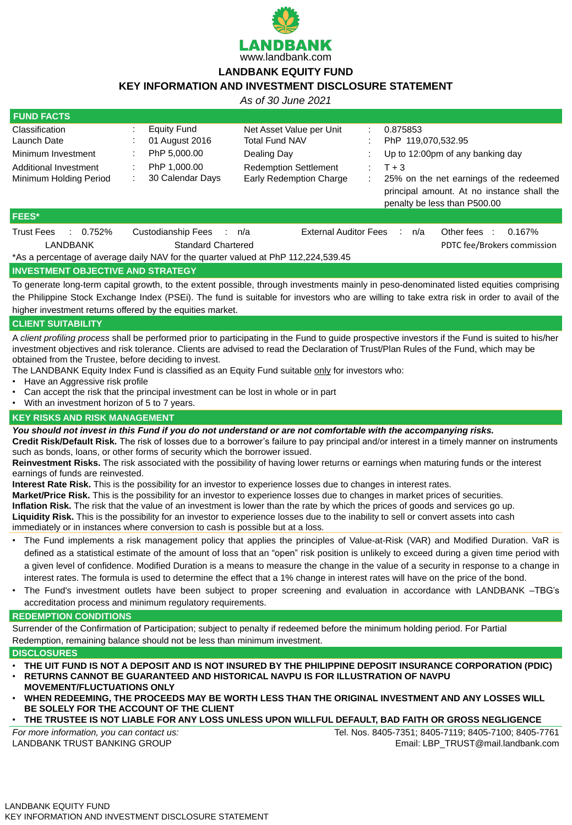

# **LANDBANK EQUITY FUND**

# **KEY INFORMATION AND INVESTMENT DISCLOSURE STATEMENT**

*As of 30 June 2021*

| <b>FUND FACTS</b>              |                                             |                                                                                    |                                                                                       |  |
|--------------------------------|---------------------------------------------|------------------------------------------------------------------------------------|---------------------------------------------------------------------------------------|--|
| <b>Classification</b>          | <b>Equity Fund</b>                          | Net Asset Value per Unit                                                           | 0.875853<br>$\blacksquare$                                                            |  |
| Launch Date                    | 01 August 2016                              | <b>Total Fund NAV</b>                                                              | PhP 119,070,532.95                                                                    |  |
| Minimum Investment             | PhP 5,000.00                                | Dealing Day                                                                        | Up to 12:00pm of any banking day                                                      |  |
| Additional Investment          | PhP 1,000.00                                | <b>Redemption Settlement</b>                                                       | $T + 3$<br>$\mathcal{L}^{\mathcal{L}}$                                                |  |
| <b>Minimum Holding Period</b>  | 30 Calendar Days                            | <b>Early Redemption Charge</b>                                                     | 25% on the net earnings of the redeemed<br>principal amount. At no instance shall the |  |
|                                |                                             |                                                                                    | penalty be less than P500.00                                                          |  |
| <b>FEES*</b>                   |                                             |                                                                                    |                                                                                       |  |
| <b>Trust Fees</b><br>$0.752\%$ | <b>Custodianship Fees</b><br>$\mathbb{R}^n$ | <b>External Auditor Fees</b><br>n/a                                                | Other fees<br>$0.167\%$<br>n/a<br>$\sim 100$<br>$\sim$ 10                             |  |
| <b>LANDBANK</b>                | <b>Standard Chartered</b>                   |                                                                                    | PDTC fee/Brokers commission                                                           |  |
|                                |                                             | *As a percentage of average daily NAV for the quarter valued at PhP 112,224,539.45 |                                                                                       |  |

### **INVESTMENT OBJECTIVE AND STRATEGY**

To generate long-term capital growth, to the extent possible, through investments mainly in peso-denominated listed equities comprising the Philippine Stock Exchange Index (PSEi). The fund is suitable for investors who are willing to take extra risk in order to avail of the higher investment returns offered by the equities market.

# **CLIENT SUITABILITY**

A *client profiling process* shall be performed prior to participating in the Fund to guide prospective investors if the Fund is suited to his/her investment objectives and risk tolerance. Clients are advised to read the Declaration of Trust/Plan Rules of the Fund, which may be obtained from the Trustee, before deciding to invest.

The LANDBANK Equity Index Fund is classified as an Equity Fund suitable only for investors who:

- Have an Aggressive risk profile
- Can accept the risk that the principal investment can be lost in whole or in part
- With an investment horizon of 5 to 7 years.

### **KEY RISKS AND RISK MANAGEMENT**

*You should not invest in this Fund if you do not understand or are not comfortable with the accompanying risks.*

**Credit Risk/Default Risk.** The risk of losses due to a borrower's failure to pay principal and/or interest in a timely manner on instruments such as bonds, loans, or other forms of security which the borrower issued.

**Reinvestment Risks.** The risk associated with the possibility of having lower returns or earnings when maturing funds or the interest earnings of funds are reinvested.

**Interest Rate Risk.** This is the possibility for an investor to experience losses due to changes in interest rates. **Market/Price Risk.** This is the possibility for an investor to experience losses due to changes in market prices of securities. **Inflation Risk.** The risk that the value of an investment is lower than the rate by which the prices of goods and services go up. **Liquidity Risk.** This is the possibility for an investor to experience losses due to the inability to sell or convert assets into cash immediately or in instances where conversion to cash is possible but at a loss.

- The Fund implements a risk management policy that applies the principles of Value-at-Risk (VAR) and Modified Duration. VaR is defined as a statistical estimate of the amount of loss that an "open" risk position is unlikely to exceed during a given time period with a given level of confidence. Modified Duration is a means to measure the change in the value of a security in response to a change in interest rates. The formula is used to determine the effect that a 1% change in interest rates will have on the price of the bond.
- The Fund's investment outlets have been subject to proper screening and evaluation in accordance with LANDBANK –TBG's accreditation process and minimum regulatory requirements.

#### **REDEMPTION CONDITIONS**

Surrender of the Confirmation of Participation; subject to penalty if redeemed before the minimum holding period. For Partial Redemption, remaining balance should not be less than minimum investment.

#### **DISCLOSURES**

- **THE UIT FUND IS NOT A DEPOSIT AND IS NOT INSURED BY THE PHILIPPINE DEPOSIT INSURANCE CORPORATION (PDIC)**
- **RETURNS CANNOT BE GUARANTEED AND HISTORICAL NAVPU IS FOR ILLUSTRATION OF NAVPU MOVEMENT/FLUCTUATIONS ONLY**
- **WHEN REDEEMING, THE PROCEEDS MAY BE WORTH LESS THAN THE ORIGINAL INVESTMENT AND ANY LOSSES WILL BE SOLELY FOR THE ACCOUNT OF THE CLIENT**
- **THE TRUSTEE IS NOT LIABLE FOR ANY LOSS UNLESS UPON WILLFUL DEFAULT, BAD FAITH OR GROSS NEGLIGENCE**

*For more information, you can contact us:* LANDBANK TRUST BANKING GROUP

Tel. Nos. 8405-7351; 8405-7119; 8405-7100; 8405-7761 Email: LBP\_TRUST@mail.landbank.com